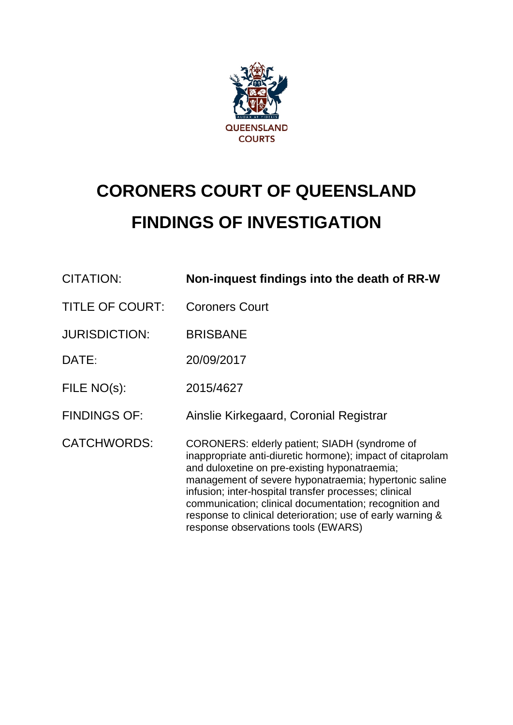

# **CORONERS COURT OF QUEENSLAND FINDINGS OF INVESTIGATION**

| CITATION:              | Non-inquest findings into the death of RR-W                                                                                                                                                                                                                                                                                                                                                                                                   |
|------------------------|-----------------------------------------------------------------------------------------------------------------------------------------------------------------------------------------------------------------------------------------------------------------------------------------------------------------------------------------------------------------------------------------------------------------------------------------------|
| <b>TITLE OF COURT:</b> | <b>Coroners Court</b>                                                                                                                                                                                                                                                                                                                                                                                                                         |
| <b>JURISDICTION:</b>   | <b>BRISBANE</b>                                                                                                                                                                                                                                                                                                                                                                                                                               |
| DATE:                  | 20/09/2017                                                                                                                                                                                                                                                                                                                                                                                                                                    |
| FILE NO(s):            | 2015/4627                                                                                                                                                                                                                                                                                                                                                                                                                                     |
| <b>FINDINGS OF:</b>    | Ainslie Kirkegaard, Coronial Registrar                                                                                                                                                                                                                                                                                                                                                                                                        |
| <b>CATCHWORDS:</b>     | CORONERS: elderly patient; SIADH (syndrome of<br>inappropriate anti-diuretic hormone); impact of citaprolam<br>and duloxetine on pre-existing hyponatraemia;<br>management of severe hyponatraemia; hypertonic saline<br>infusion; inter-hospital transfer processes; clinical<br>communication; clinical documentation; recognition and<br>response to clinical deterioration; use of early warning &<br>response observations tools (EWARS) |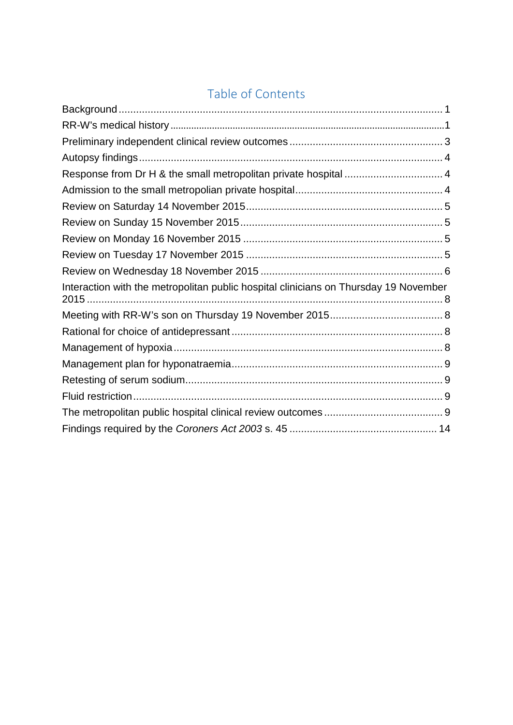# Table of Contents

<span id="page-1-0"></span>

| Response from Dr H & the small metropolitan private hospital  4                      |  |
|--------------------------------------------------------------------------------------|--|
|                                                                                      |  |
|                                                                                      |  |
|                                                                                      |  |
|                                                                                      |  |
|                                                                                      |  |
|                                                                                      |  |
| Interaction with the metropolitan public hospital clinicians on Thursday 19 November |  |
|                                                                                      |  |
|                                                                                      |  |
|                                                                                      |  |
|                                                                                      |  |
|                                                                                      |  |
|                                                                                      |  |
|                                                                                      |  |
|                                                                                      |  |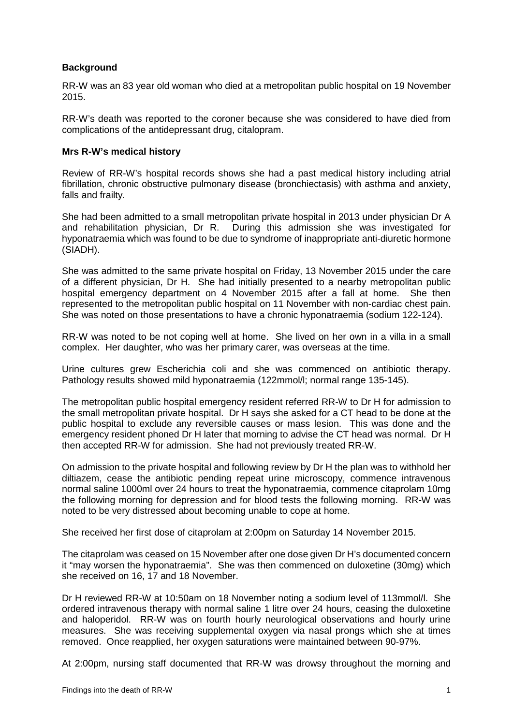# **Background**

RR-W was an 83 year old woman who died at a metropolitan public hospital on 19 November 2015.

RR-W's death was reported to the coroner because she was considered to have died from complications of the antidepressant drug, citalopram.

#### **Mrs R-W's medical history**

Review of RR-W's hospital records shows she had a past medical history including atrial fibrillation, chronic obstructive pulmonary disease (bronchiectasis) with asthma and anxiety, falls and frailty.

She had been admitted to a small metropolitan private hospital in 2013 under physician Dr A and rehabilitation physician, Dr R. During this admission she was investigated for hyponatraemia which was found to be due to syndrome of inappropriate anti-diuretic hormone (SIADH).

She was admitted to the same private hospital on Friday, 13 November 2015 under the care of a different physician, Dr H. She had initially presented to a nearby metropolitan public hospital emergency department on 4 November 2015 after a fall at home. She then represented to the metropolitan public hospital on 11 November with non-cardiac chest pain. She was noted on those presentations to have a chronic hyponatraemia (sodium 122-124).

RR-W was noted to be not coping well at home. She lived on her own in a villa in a small complex. Her daughter, who was her primary carer, was overseas at the time.

Urine cultures grew Escherichia coli and she was commenced on antibiotic therapy. Pathology results showed mild hyponatraemia (122mmol/l; normal range 135-145).

The metropolitan public hospital emergency resident referred RR-W to Dr H for admission to the small metropolitan private hospital. Dr H says she asked for a CT head to be done at the public hospital to exclude any reversible causes or mass lesion. This was done and the emergency resident phoned Dr H later that morning to advise the CT head was normal. Dr H then accepted RR-W for admission. She had not previously treated RR-W.

On admission to the private hospital and following review by Dr H the plan was to withhold her diltiazem, cease the antibiotic pending repeat urine microscopy, commence intravenous normal saline 1000ml over 24 hours to treat the hyponatraemia, commence citaprolam 10mg the following morning for depression and for blood tests the following morning. RR-W was noted to be very distressed about becoming unable to cope at home.

She received her first dose of citaprolam at 2:00pm on Saturday 14 November 2015.

The citaprolam was ceased on 15 November after one dose given Dr H's documented concern it "may worsen the hyponatraemia". She was then commenced on duloxetine (30mg) which she received on 16, 17 and 18 November.

Dr H reviewed RR-W at 10:50am on 18 November noting a sodium level of 113mmol/l. She ordered intravenous therapy with normal saline 1 litre over 24 hours, ceasing the duloxetine and haloperidol. RR-W was on fourth hourly neurological observations and hourly urine measures. She was receiving supplemental oxygen via nasal prongs which she at times removed. Once reapplied, her oxygen saturations were maintained between 90-97%.

At 2:00pm, nursing staff documented that RR-W was drowsy throughout the morning and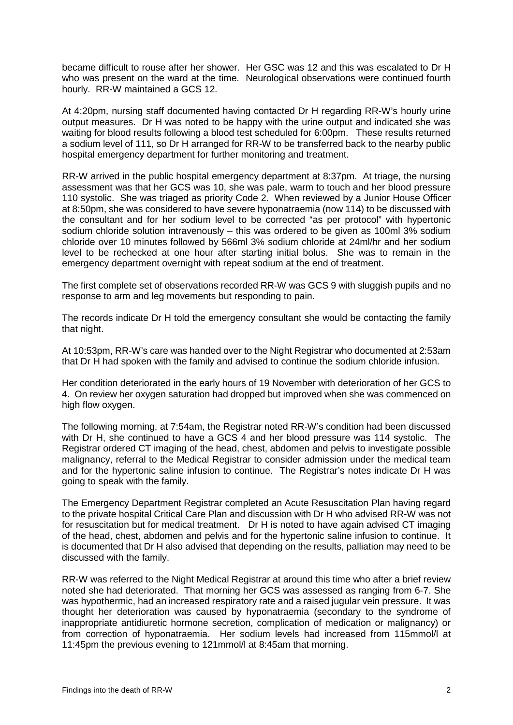became difficult to rouse after her shower. Her GSC was 12 and this was escalated to Dr H who was present on the ward at the time. Neurological observations were continued fourth hourly. RR-W maintained a GCS 12.

At 4:20pm, nursing staff documented having contacted Dr H regarding RR-W's hourly urine output measures. Dr H was noted to be happy with the urine output and indicated she was waiting for blood results following a blood test scheduled for 6:00pm. These results returned a sodium level of 111, so Dr H arranged for RR-W to be transferred back to the nearby public hospital emergency department for further monitoring and treatment.

RR-W arrived in the public hospital emergency department at 8:37pm. At triage, the nursing assessment was that her GCS was 10, she was pale, warm to touch and her blood pressure 110 systolic. She was triaged as priority Code 2. When reviewed by a Junior House Officer at 8:50pm, she was considered to have severe hyponatraemia (now 114) to be discussed with the consultant and for her sodium level to be corrected "as per protocol" with hypertonic sodium chloride solution intravenously – this was ordered to be given as 100ml 3% sodium chloride over 10 minutes followed by 566ml 3% sodium chloride at 24ml/hr and her sodium level to be rechecked at one hour after starting initial bolus. She was to remain in the emergency department overnight with repeat sodium at the end of treatment.

The first complete set of observations recorded RR-W was GCS 9 with sluggish pupils and no response to arm and leg movements but responding to pain.

The records indicate Dr H told the emergency consultant she would be contacting the family that night.

At 10:53pm, RR-W's care was handed over to the Night Registrar who documented at 2:53am that Dr H had spoken with the family and advised to continue the sodium chloride infusion.

Her condition deteriorated in the early hours of 19 November with deterioration of her GCS to 4. On review her oxygen saturation had dropped but improved when she was commenced on high flow oxygen.

The following morning, at 7:54am, the Registrar noted RR-W's condition had been discussed with Dr H, she continued to have a GCS 4 and her blood pressure was 114 systolic. The Registrar ordered CT imaging of the head, chest, abdomen and pelvis to investigate possible malignancy, referral to the Medical Registrar to consider admission under the medical team and for the hypertonic saline infusion to continue. The Registrar's notes indicate Dr H was going to speak with the family.

The Emergency Department Registrar completed an Acute Resuscitation Plan having regard to the private hospital Critical Care Plan and discussion with Dr H who advised RR-W was not for resuscitation but for medical treatment. Dr H is noted to have again advised CT imaging of the head, chest, abdomen and pelvis and for the hypertonic saline infusion to continue. It is documented that Dr H also advised that depending on the results, palliation may need to be discussed with the family.

RR-W was referred to the Night Medical Registrar at around this time who after a brief review noted she had deteriorated. That morning her GCS was assessed as ranging from 6-7. She was hypothermic, had an increased respiratory rate and a raised jugular vein pressure. It was thought her deterioration was caused by hyponatraemia (secondary to the syndrome of inappropriate antidiuretic hormone secretion, complication of medication or malignancy) or from correction of hyponatraemia. Her sodium levels had increased from 115mmol/l at 11:45pm the previous evening to 121mmol/l at 8:45am that morning.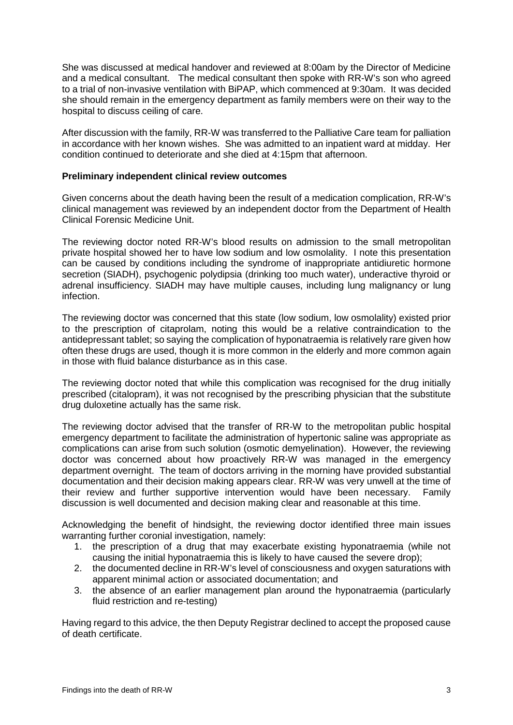She was discussed at medical handover and reviewed at 8:00am by the Director of Medicine and a medical consultant. The medical consultant then spoke with RR-W's son who agreed to a trial of non-invasive ventilation with BiPAP, which commenced at 9:30am. It was decided she should remain in the emergency department as family members were on their way to the hospital to discuss ceiling of care.

After discussion with the family, RR-W was transferred to the Palliative Care team for palliation in accordance with her known wishes. She was admitted to an inpatient ward at midday. Her condition continued to deteriorate and she died at 4:15pm that afternoon.

#### **Preliminary independent clinical review outcomes**

Given concerns about the death having been the result of a medication complication, RR-W's clinical management was reviewed by an independent doctor from the Department of Health Clinical Forensic Medicine Unit.

The reviewing doctor noted RR-W's blood results on admission to the small metropolitan private hospital showed her to have low sodium and low osmolality. I note this presentation can be caused by conditions including the syndrome of inappropriate antidiuretic hormone secretion (SIADH), psychogenic polydipsia (drinking too much water), underactive thyroid or adrenal insufficiency. SIADH may have multiple causes, including lung malignancy or lung infection.

The reviewing doctor was concerned that this state (low sodium, low osmolality) existed prior to the prescription of citaprolam, noting this would be a relative contraindication to the antidepressant tablet; so saying the complication of hyponatraemia is relatively rare given how often these drugs are used, though it is more common in the elderly and more common again in those with fluid balance disturbance as in this case.

The reviewing doctor noted that while this complication was recognised for the drug initially prescribed (citalopram), it was not recognised by the prescribing physician that the substitute drug duloxetine actually has the same risk.

The reviewing doctor advised that the transfer of RR-W to the metropolitan public hospital emergency department to facilitate the administration of hypertonic saline was appropriate as complications can arise from such solution (osmotic demyelination). However, the reviewing doctor was concerned about how proactively RR-W was managed in the emergency department overnight. The team of doctors arriving in the morning have provided substantial documentation and their decision making appears clear. RR-W was very unwell at the time of their review and further supportive intervention would have been necessary. Family discussion is well documented and decision making clear and reasonable at this time.

Acknowledging the benefit of hindsight, the reviewing doctor identified three main issues warranting further coronial investigation, namely:

- 1. the prescription of a drug that may exacerbate existing hyponatraemia (while not causing the initial hyponatraemia this is likely to have caused the severe drop);
- 2. the documented decline in RR-W's level of consciousness and oxygen saturations with apparent minimal action or associated documentation; and
- 3. the absence of an earlier management plan around the hyponatraemia (particularly fluid restriction and re-testing)

Having regard to this advice, the then Deputy Registrar declined to accept the proposed cause of death certificate.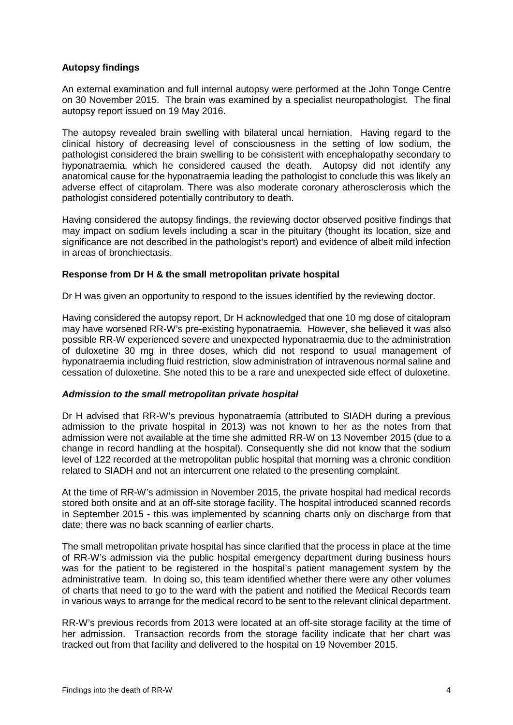# **Autopsy findings**

An external examination and full internal autopsy were performed at the John Tonge Centre on 30 November 2015. The brain was examined by a specialist neuropathologist. The final autopsy report issued on 19 May 2016.

The autopsy revealed brain swelling with bilateral uncal herniation. Having regard to the clinical history of decreasing level of consciousness in the setting of low sodium, the pathologist considered the brain swelling to be consistent with encephalopathy secondary to hyponatraemia, which he considered caused the death. Autopsy did not identify any anatomical cause for the hyponatraemia leading the pathologist to conclude this was likely an adverse effect of citaprolam. There was also moderate coronary atherosclerosis which the pathologist considered potentially contributory to death.

Having considered the autopsy findings, the reviewing doctor observed positive findings that may impact on sodium levels including a scar in the pituitary (thought its location, size and significance are not described in the pathologist's report) and evidence of albeit mild infection in areas of bronchiectasis.

#### **Response from Dr H & the small metropolitan private hospital**

Dr H was given an opportunity to respond to the issues identified by the reviewing doctor.

Having considered the autopsy report, Dr H acknowledged that one 10 mg dose of citalopram may have worsened RR-W's pre-existing hyponatraemia. However, she believed it was also possible RR-W experienced severe and unexpected hyponatraemia due to the administration of duloxetine 30 mg in three doses, which did not respond to usual management of hyponatraemia including fluid restriction, slow administration of intravenous normal saline and cessation of duloxetine. She noted this to be a rare and unexpected side effect of duloxetine.

# *Admission to the small metropolitan private hospital*

Dr H advised that RR-W's previous hyponatraemia (attributed to SIADH during a previous admission to the private hospital in 2013) was not known to her as the notes from that admission were not available at the time she admitted RR-W on 13 November 2015 (due to a change in record handling at the hospital). Consequently she did not know that the sodium level of 122 recorded at the metropolitan public hospital that morning was a chronic condition related to SIADH and not an intercurrent one related to the presenting complaint.

At the time of RR-W's admission in November 2015, the private hospital had medical records stored both onsite and at an off-site storage facility. The hospital introduced scanned records in September 2015 - this was implemented by scanning charts only on discharge from that date; there was no back scanning of earlier charts.

The small metropolitan private hospital has since clarified that the process in place at the time of RR-W's admission via the public hospital emergency department during business hours was for the patient to be registered in the hospital's patient management system by the administrative team. In doing so, this team identified whether there were any other volumes of charts that need to go to the ward with the patient and notified the Medical Records team in various ways to arrange for the medical record to be sent to the relevant clinical department.

RR-W's previous records from 2013 were located at an off-site storage facility at the time of her admission. Transaction records from the storage facility indicate that her chart was tracked out from that facility and delivered to the hospital on 19 November 2015.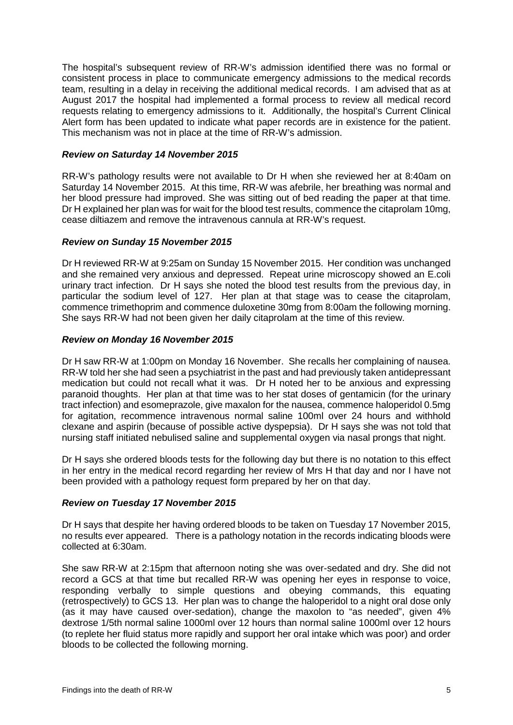The hospital's subsequent review of RR-W's admission identified there was no formal or consistent process in place to communicate emergency admissions to the medical records team, resulting in a delay in receiving the additional medical records. I am advised that as at August 2017 the hospital had implemented a formal process to review all medical record requests relating to emergency admissions to it. Additionally, the hospital's Current Clinical Alert form has been updated to indicate what paper records are in existence for the patient. This mechanism was not in place at the time of RR-W's admission.

#### *Review on Saturday 14 November 2015*

RR-W's pathology results were not available to Dr H when she reviewed her at 8:40am on Saturday 14 November 2015. At this time, RR-W was afebrile, her breathing was normal and her blood pressure had improved. She was sitting out of bed reading the paper at that time. Dr H explained her plan was for wait for the blood test results, commence the citaprolam 10mg, cease diltiazem and remove the intravenous cannula at RR-W's request.

# *Review on Sunday 15 November 2015*

Dr H reviewed RR-W at 9:25am on Sunday 15 November 2015. Her condition was unchanged and she remained very anxious and depressed. Repeat urine microscopy showed an E.coli urinary tract infection. Dr H says she noted the blood test results from the previous day, in particular the sodium level of 127. Her plan at that stage was to cease the citaprolam, commence trimethoprim and commence duloxetine 30mg from 8:00am the following morning. She says RR-W had not been given her daily citaprolam at the time of this review.

#### *Review on Monday 16 November 2015*

Dr H saw RR-W at 1:00pm on Monday 16 November. She recalls her complaining of nausea. RR-W told her she had seen a psychiatrist in the past and had previously taken antidepressant medication but could not recall what it was. Dr H noted her to be anxious and expressing paranoid thoughts. Her plan at that time was to her stat doses of gentamicin (for the urinary tract infection) and esomeprazole, give maxalon for the nausea, commence haloperidol 0.5mg for agitation, recommence intravenous normal saline 100ml over 24 hours and withhold clexane and aspirin (because of possible active dyspepsia). Dr H says she was not told that nursing staff initiated nebulised saline and supplemental oxygen via nasal prongs that night.

Dr H says she ordered bloods tests for the following day but there is no notation to this effect in her entry in the medical record regarding her review of Mrs H that day and nor I have not been provided with a pathology request form prepared by her on that day.

#### *Review on Tuesday 17 November 2015*

Dr H says that despite her having ordered bloods to be taken on Tuesday 17 November 2015, no results ever appeared. There is a pathology notation in the records indicating bloods were collected at 6:30am.

She saw RR-W at 2:15pm that afternoon noting she was over-sedated and dry. She did not record a GCS at that time but recalled RR-W was opening her eyes in response to voice, responding verbally to simple questions and obeying commands, this equating (retrospectively) to GCS 13. Her plan was to change the haloperidol to a night oral dose only (as it may have caused over-sedation), change the maxolon to "as needed", given 4% dextrose 1/5th normal saline 1000ml over 12 hours than normal saline 1000ml over 12 hours (to replete her fluid status more rapidly and support her oral intake which was poor) and order bloods to be collected the following morning.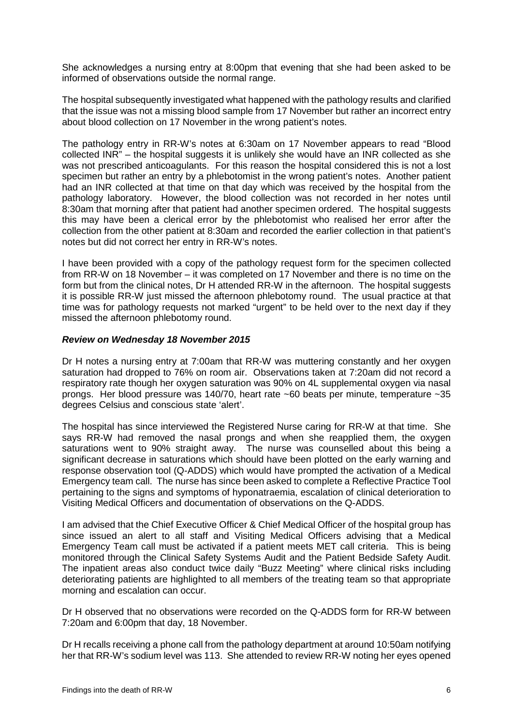She acknowledges a nursing entry at 8:00pm that evening that she had been asked to be informed of observations outside the normal range.

The hospital subsequently investigated what happened with the pathology results and clarified that the issue was not a missing blood sample from 17 November but rather an incorrect entry about blood collection on 17 November in the wrong patient's notes.

The pathology entry in RR-W's notes at 6:30am on 17 November appears to read "Blood collected INR" – the hospital suggests it is unlikely she would have an INR collected as she was not prescribed anticoagulants. For this reason the hospital considered this is not a lost specimen but rather an entry by a phlebotomist in the wrong patient's notes. Another patient had an INR collected at that time on that day which was received by the hospital from the pathology laboratory. However, the blood collection was not recorded in her notes until 8:30am that morning after that patient had another specimen ordered. The hospital suggests this may have been a clerical error by the phlebotomist who realised her error after the collection from the other patient at 8:30am and recorded the earlier collection in that patient's notes but did not correct her entry in RR-W's notes.

I have been provided with a copy of the pathology request form for the specimen collected from RR-W on 18 November – it was completed on 17 November and there is no time on the form but from the clinical notes, Dr H attended RR-W in the afternoon. The hospital suggests it is possible RR-W just missed the afternoon phlebotomy round. The usual practice at that time was for pathology requests not marked "urgent" to be held over to the next day if they missed the afternoon phlebotomy round.

#### *Review on Wednesday 18 November 2015*

Dr H notes a nursing entry at 7:00am that RR-W was muttering constantly and her oxygen saturation had dropped to 76% on room air. Observations taken at 7:20am did not record a respiratory rate though her oxygen saturation was 90% on 4L supplemental oxygen via nasal prongs. Her blood pressure was 140/70, heart rate ~60 beats per minute, temperature ~35 degrees Celsius and conscious state 'alert'.

The hospital has since interviewed the Registered Nurse caring for RR-W at that time. She says RR-W had removed the nasal prongs and when she reapplied them, the oxygen saturations went to 90% straight away. The nurse was counselled about this being a significant decrease in saturations which should have been plotted on the early warning and response observation tool (Q-ADDS) which would have prompted the activation of a Medical Emergency team call. The nurse has since been asked to complete a Reflective Practice Tool pertaining to the signs and symptoms of hyponatraemia, escalation of clinical deterioration to Visiting Medical Officers and documentation of observations on the Q-ADDS.

I am advised that the Chief Executive Officer & Chief Medical Officer of the hospital group has since issued an alert to all staff and Visiting Medical Officers advising that a Medical Emergency Team call must be activated if a patient meets MET call criteria. This is being monitored through the Clinical Safety Systems Audit and the Patient Bedside Safety Audit. The inpatient areas also conduct twice daily "Buzz Meeting" where clinical risks including deteriorating patients are highlighted to all members of the treating team so that appropriate morning and escalation can occur.

Dr H observed that no observations were recorded on the Q-ADDS form for RR-W between 7:20am and 6:00pm that day, 18 November.

Dr H recalls receiving a phone call from the pathology department at around 10:50am notifying her that RR-W's sodium level was 113. She attended to review RR-W noting her eyes opened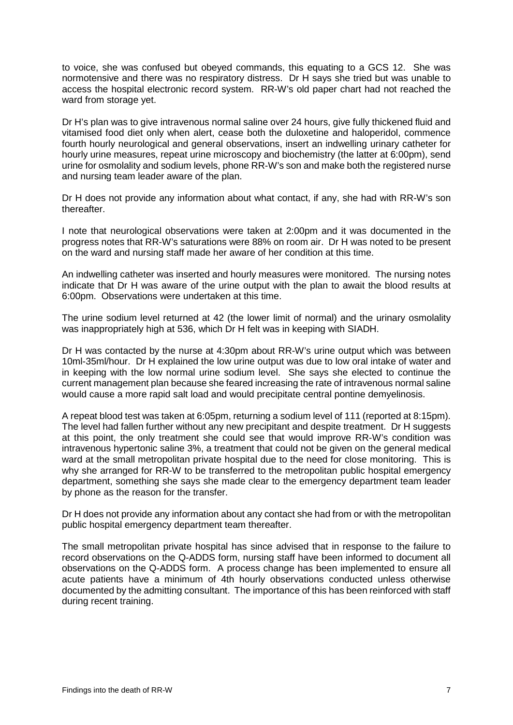to voice, she was confused but obeyed commands, this equating to a GCS 12. She was normotensive and there was no respiratory distress. Dr H says she tried but was unable to access the hospital electronic record system. RR-W's old paper chart had not reached the ward from storage yet.

Dr H's plan was to give intravenous normal saline over 24 hours, give fully thickened fluid and vitamised food diet only when alert, cease both the duloxetine and haloperidol, commence fourth hourly neurological and general observations, insert an indwelling urinary catheter for hourly urine measures, repeat urine microscopy and biochemistry (the latter at 6:00pm), send urine for osmolality and sodium levels, phone RR-W's son and make both the registered nurse and nursing team leader aware of the plan.

Dr H does not provide any information about what contact, if any, she had with RR-W's son thereafter.

I note that neurological observations were taken at 2:00pm and it was documented in the progress notes that RR-W's saturations were 88% on room air. Dr H was noted to be present on the ward and nursing staff made her aware of her condition at this time.

An indwelling catheter was inserted and hourly measures were monitored. The nursing notes indicate that Dr H was aware of the urine output with the plan to await the blood results at 6:00pm. Observations were undertaken at this time.

The urine sodium level returned at 42 (the lower limit of normal) and the urinary osmolality was inappropriately high at 536, which Dr H felt was in keeping with SIADH.

Dr H was contacted by the nurse at 4:30pm about RR-W's urine output which was between 10ml-35ml/hour. Dr H explained the low urine output was due to low oral intake of water and in keeping with the low normal urine sodium level. She says she elected to continue the current management plan because she feared increasing the rate of intravenous normal saline would cause a more rapid salt load and would precipitate central pontine demyelinosis.

A repeat blood test was taken at 6:05pm, returning a sodium level of 111 (reported at 8:15pm). The level had fallen further without any new precipitant and despite treatment. Dr H suggests at this point, the only treatment she could see that would improve RR-W's condition was intravenous hypertonic saline 3%, a treatment that could not be given on the general medical ward at the small metropolitan private hospital due to the need for close monitoring. This is why she arranged for RR-W to be transferred to the metropolitan public hospital emergency department, something she says she made clear to the emergency department team leader by phone as the reason for the transfer.

Dr H does not provide any information about any contact she had from or with the metropolitan public hospital emergency department team thereafter.

The small metropolitan private hospital has since advised that in response to the failure to record observations on the Q-ADDS form, nursing staff have been informed to document all observations on the Q-ADDS form. A process change has been implemented to ensure all acute patients have a minimum of 4th hourly observations conducted unless otherwise documented by the admitting consultant. The importance of this has been reinforced with staff during recent training.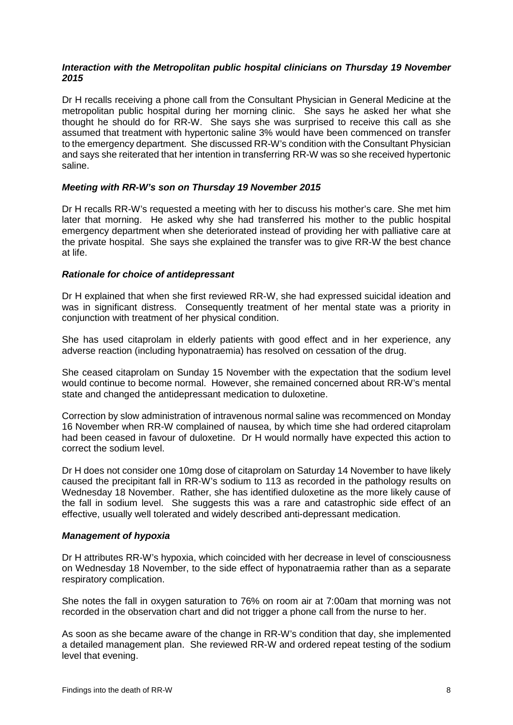#### *Interaction with the Metropolitan public hospital clinicians on Thursday 19 November 2015*

Dr H recalls receiving a phone call from the Consultant Physician in General Medicine at the metropolitan public hospital during her morning clinic. She says he asked her what she thought he should do for RR-W. She says she was surprised to receive this call as she assumed that treatment with hypertonic saline 3% would have been commenced on transfer to the emergency department. She discussed RR-W's condition with the Consultant Physician and says she reiterated that her intention in transferring RR-W was so she received hypertonic saline.

#### *Meeting with RR-W's son on Thursday 19 November 2015*

Dr H recalls RR-W's requested a meeting with her to discuss his mother's care. She met him later that morning. He asked why she had transferred his mother to the public hospital emergency department when she deteriorated instead of providing her with palliative care at the private hospital. She says she explained the transfer was to give RR-W the best chance at life.

#### *Rationale for choice of antidepressant*

Dr H explained that when she first reviewed RR-W, she had expressed suicidal ideation and was in significant distress. Consequently treatment of her mental state was a priority in conjunction with treatment of her physical condition.

She has used citaprolam in elderly patients with good effect and in her experience, any adverse reaction (including hyponatraemia) has resolved on cessation of the drug.

She ceased citaprolam on Sunday 15 November with the expectation that the sodium level would continue to become normal. However, she remained concerned about RR-W's mental state and changed the antidepressant medication to duloxetine.

Correction by slow administration of intravenous normal saline was recommenced on Monday 16 November when RR-W complained of nausea, by which time she had ordered citaprolam had been ceased in favour of duloxetine. Dr H would normally have expected this action to correct the sodium level.

Dr H does not consider one 10mg dose of citaprolam on Saturday 14 November to have likely caused the precipitant fall in RR-W's sodium to 113 as recorded in the pathology results on Wednesday 18 November. Rather, she has identified duloxetine as the more likely cause of the fall in sodium level. She suggests this was a rare and catastrophic side effect of an effective, usually well tolerated and widely described anti-depressant medication.

#### *Management of hypoxia*

Dr H attributes RR-W's hypoxia, which coincided with her decrease in level of consciousness on Wednesday 18 November, to the side effect of hyponatraemia rather than as a separate respiratory complication.

She notes the fall in oxygen saturation to 76% on room air at 7:00am that morning was not recorded in the observation chart and did not trigger a phone call from the nurse to her.

As soon as she became aware of the change in RR-W's condition that day, she implemented a detailed management plan. She reviewed RR-W and ordered repeat testing of the sodium level that evening.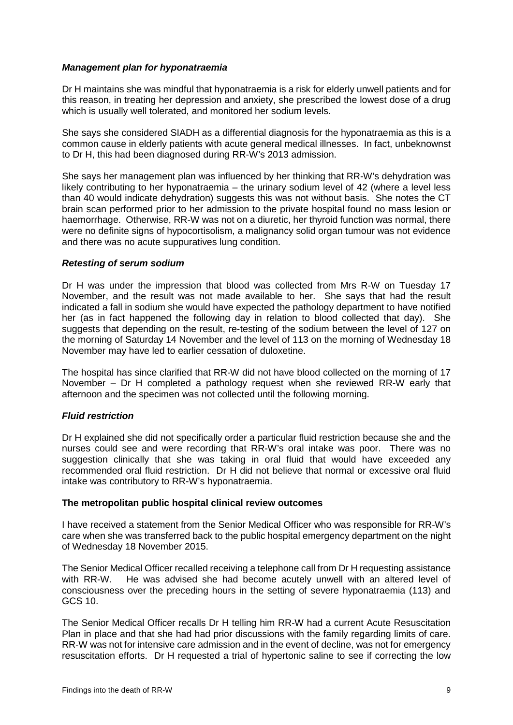#### *Management plan for hyponatraemia*

Dr H maintains she was mindful that hyponatraemia is a risk for elderly unwell patients and for this reason, in treating her depression and anxiety, she prescribed the lowest dose of a drug which is usually well tolerated, and monitored her sodium levels.

She says she considered SIADH as a differential diagnosis for the hyponatraemia as this is a common cause in elderly patients with acute general medical illnesses. In fact, unbeknownst to Dr H, this had been diagnosed during RR-W's 2013 admission.

She says her management plan was influenced by her thinking that RR-W's dehydration was likely contributing to her hyponatraemia – the urinary sodium level of 42 (where a level less than 40 would indicate dehydration) suggests this was not without basis. She notes the CT brain scan performed prior to her admission to the private hospital found no mass lesion or haemorrhage. Otherwise, RR-W was not on a diuretic, her thyroid function was normal, there were no definite signs of hypocortisolism, a malignancy solid organ tumour was not evidence and there was no acute suppuratives lung condition.

#### *Retesting of serum sodium*

Dr H was under the impression that blood was collected from Mrs R-W on Tuesday 17 November, and the result was not made available to her. She says that had the result indicated a fall in sodium she would have expected the pathology department to have notified her (as in fact happened the following day in relation to blood collected that day). She suggests that depending on the result, re-testing of the sodium between the level of 127 on the morning of Saturday 14 November and the level of 113 on the morning of Wednesday 18 November may have led to earlier cessation of duloxetine.

The hospital has since clarified that RR-W did not have blood collected on the morning of 17 November – Dr H completed a pathology request when she reviewed RR-W early that afternoon and the specimen was not collected until the following morning.

# *Fluid restriction*

Dr H explained she did not specifically order a particular fluid restriction because she and the nurses could see and were recording that RR-W's oral intake was poor. There was no suggestion clinically that she was taking in oral fluid that would have exceeded any recommended oral fluid restriction. Dr H did not believe that normal or excessive oral fluid intake was contributory to RR-W's hyponatraemia.

#### **The metropolitan public hospital clinical review outcomes**

I have received a statement from the Senior Medical Officer who was responsible for RR-W's care when she was transferred back to the public hospital emergency department on the night of Wednesday 18 November 2015.

The Senior Medical Officer recalled receiving a telephone call from Dr H requesting assistance with RR-W. He was advised she had become acutely unwell with an altered level of consciousness over the preceding hours in the setting of severe hyponatraemia (113) and GCS 10.

The Senior Medical Officer recalls Dr H telling him RR-W had a current Acute Resuscitation Plan in place and that she had had prior discussions with the family regarding limits of care. RR-W was not for intensive care admission and in the event of decline, was not for emergency resuscitation efforts. Dr H requested a trial of hypertonic saline to see if correcting the low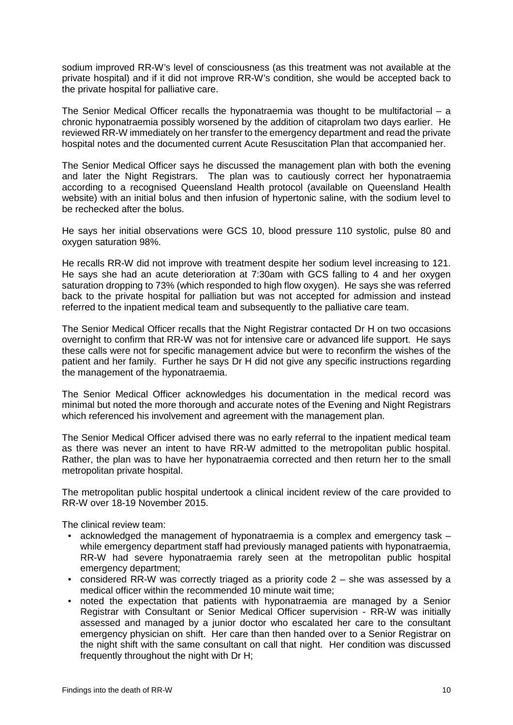sodium improved RR-W's level of consciousness (as this treatment was not available at the private hospital) and if it did not improve RR-W's condition, she would be accepted back to the private hospital for palliative care.

The Senior Medical Officer recalls the hyponatraemia was thought to be multifactorial  $-$  a chronic hyponatraemia possibly worsened by the addition of citaprolam two days earlier. He reviewed RR-W immediately on her transfer to the emergency department and read the private hospital notes and the documented current Acute Resuscitation Plan that accompanied her.

The Senior Medical Officer says he discussed the management plan with both the evening and later the Night Registrars. The plan was to cautiously correct her hyponatraemia according to a recognised Queensland Health protocol (available on Queensland Health website) with an initial bolus and then infusion of hypertonic saline, with the sodium level to be rechecked after the bolus.

He says her initial observations were GCS 10, blood pressure 110 systolic, pulse 80 and oxygen saturation 98%.

He recalls RR-W did not improve with treatment despite her sodium level increasing to 121. He says she had an acute deterioration at 7:30am with GCS falling to 4 and her oxygen saturation dropping to 73% (which responded to high flow oxygen). He says she was referred back to the private hospital for palliation but was not accepted for admission and instead referred to the inpatient medical team and subsequently to the palliative care team.

The Senior Medical Officer recalls that the Night Registrar contacted Dr H on two occasions overnight to confirm that RR-W was not for intensive care or advanced life support. He says these calls were not for specific management advice but were to reconfirm the wishes of the patient and her family. Further he says Dr H did not give any specific instructions regarding the management of the hyponatraemia.

The Senior Medical Officer acknowledges his documentation in the medical record was minimal but noted the more thorough and accurate notes of the Evening and Night Registrars which referenced his involvement and agreement with the management plan.

The Senior Medical Officer advised there was no early referral to the inpatient medical team as there was never an intent to have RR-W admitted to the metropolitan public hospital. Rather, the plan was to have her hyponatraemia corrected and then return her to the small metropolitan private hospital.

The metropolitan public hospital undertook a clinical incident review of the care provided to RR-W over 18-19 November 2015.

The clinical review team:

- acknowledged the management of hyponatraemia is a complex and emergency task while emergency department staff had previously managed patients with hyponatraemia, RR-W had severe hyponatraemia rarely seen at the metropolitan public hospital emergency department;
- considered RR-W was correctly triaged as a priority code 2 she was assessed by a medical officer within the recommended 10 minute wait time;
- noted the expectation that patients with hyponatraemia are managed by a Senior Registrar with Consultant or Senior Medical Officer supervision - RR-W was initially assessed and managed by a junior doctor who escalated her care to the consultant emergency physician on shift. Her care than then handed over to a Senior Registrar on the night shift with the same consultant on call that night. Her condition was discussed frequently throughout the night with Dr H;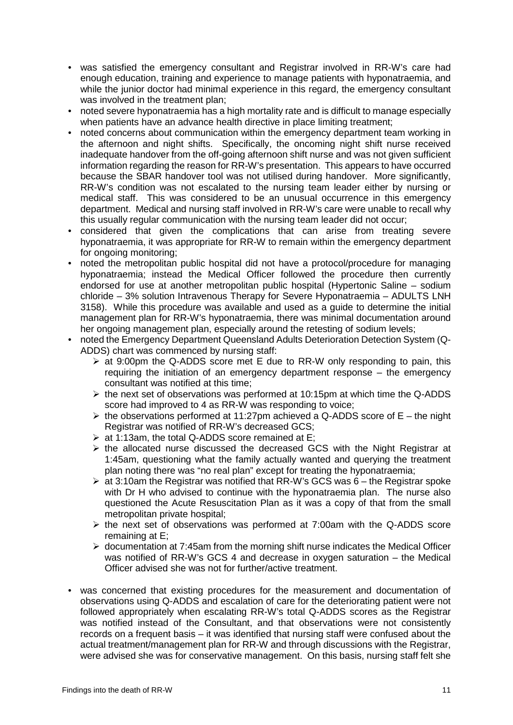- was satisfied the emergency consultant and Registrar involved in RR-W's care had enough education, training and experience to manage patients with hyponatraemia, and while the junior doctor had minimal experience in this regard, the emergency consultant was involved in the treatment plan;
- noted severe hyponatraemia has a high mortality rate and is difficult to manage especially when patients have an advance health directive in place limiting treatment;
- noted concerns about communication within the emergency department team working in the afternoon and night shifts. Specifically, the oncoming night shift nurse received inadequate handover from the off-going afternoon shift nurse and was not given sufficient information regarding the reason for RR-W's presentation. This appears to have occurred because the SBAR handover tool was not utilised during handover. More significantly, RR-W's condition was not escalated to the nursing team leader either by nursing or medical staff. This was considered to be an unusual occurrence in this emergency department. Medical and nursing staff involved in RR-W's care were unable to recall why this usually regular communication with the nursing team leader did not occur;
- considered that given the complications that can arise from treating severe hyponatraemia, it was appropriate for RR-W to remain within the emergency department for ongoing monitoring;
- noted the metropolitan public hospital did not have a protocol/procedure for managing hyponatraemia; instead the Medical Officer followed the procedure then currently endorsed for use at another metropolitan public hospital (Hypertonic Saline – sodium chloride – 3% solution Intravenous Therapy for Severe Hyponatraemia – ADULTS LNH 3158). While this procedure was available and used as a guide to determine the initial management plan for RR-W's hyponatraemia, there was minimal documentation around her ongoing management plan, especially around the retesting of sodium levels;
- noted the Emergency Department Queensland Adults Deterioration Detection System (Q-ADDS) chart was commenced by nursing staff:
	- $\triangleright$  at 9:00pm the Q-ADDS score met E due to RR-W only responding to pain, this requiring the initiation of an emergency department response – the emergency consultant was notified at this time;
	- $\triangleright$  the next set of observations was performed at 10:15pm at which time the Q-ADDS score had improved to 4 as RR-W was responding to voice;
	- $\triangleright$  the observations performed at 11:27pm achieved a Q-ADDS score of E the night Registrar was notified of RR-W's decreased GCS;
	- $\triangleright$  at 1:13am, the total Q-ADDS score remained at E;
	- $\triangleright$  the allocated nurse discussed the decreased GCS with the Night Registrar at 1:45am, questioning what the family actually wanted and querying the treatment plan noting there was "no real plan" except for treating the hyponatraemia;
	- $\triangleright$  at 3:10am the Registrar was notified that RR-W's GCS was 6 the Registrar spoke with Dr H who advised to continue with the hyponatraemia plan. The nurse also questioned the Acute Resuscitation Plan as it was a copy of that from the small metropolitan private hospital;
	- $\triangleright$  the next set of observations was performed at 7:00am with the Q-ADDS score remaining at E;
	- $\triangleright$  documentation at 7:45am from the morning shift nurse indicates the Medical Officer was notified of RR-W's GCS 4 and decrease in oxygen saturation – the Medical Officer advised she was not for further/active treatment.
- was concerned that existing procedures for the measurement and documentation of observations using Q-ADDS and escalation of care for the deteriorating patient were not followed appropriately when escalating RR-W's total Q-ADDS scores as the Registrar was notified instead of the Consultant, and that observations were not consistently records on a frequent basis – it was identified that nursing staff were confused about the actual treatment/management plan for RR-W and through discussions with the Registrar, were advised she was for conservative management. On this basis, nursing staff felt she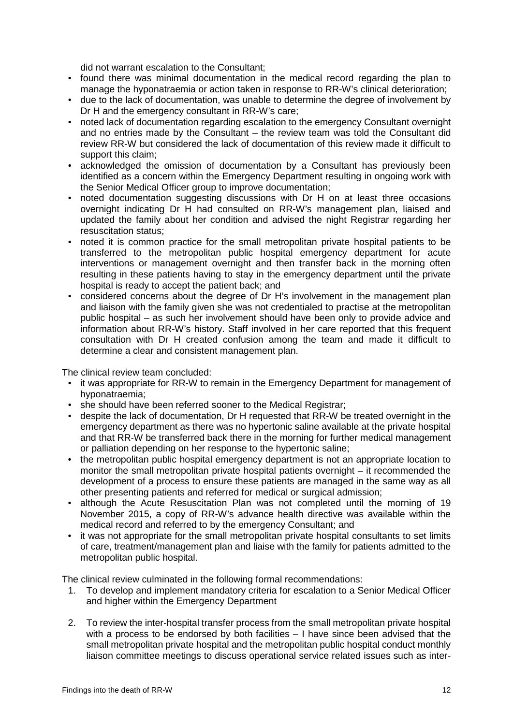did not warrant escalation to the Consultant;

- found there was minimal documentation in the medical record regarding the plan to manage the hyponatraemia or action taken in response to RR-W's clinical deterioration;
- due to the lack of documentation, was unable to determine the degree of involvement by Dr H and the emergency consultant in RR-W's care;
- noted lack of documentation regarding escalation to the emergency Consultant overnight and no entries made by the Consultant – the review team was told the Consultant did review RR-W but considered the lack of documentation of this review made it difficult to support this claim;
- acknowledged the omission of documentation by a Consultant has previously been identified as a concern within the Emergency Department resulting in ongoing work with the Senior Medical Officer group to improve documentation;
- noted documentation suggesting discussions with Dr H on at least three occasions overnight indicating Dr H had consulted on RR-W's management plan, liaised and updated the family about her condition and advised the night Registrar regarding her resuscitation status;
- noted it is common practice for the small metropolitan private hospital patients to be transferred to the metropolitan public hospital emergency department for acute interventions or management overnight and then transfer back in the morning often resulting in these patients having to stay in the emergency department until the private hospital is ready to accept the patient back; and
- considered concerns about the degree of Dr H's involvement in the management plan and liaison with the family given she was not credentialed to practise at the metropolitan public hospital – as such her involvement should have been only to provide advice and information about RR-W's history. Staff involved in her care reported that this frequent consultation with Dr H created confusion among the team and made it difficult to determine a clear and consistent management plan.

The clinical review team concluded:

- it was appropriate for RR-W to remain in the Emergency Department for management of hyponatraemia;
- she should have been referred sooner to the Medical Registrar;
- despite the lack of documentation, Dr H requested that RR-W be treated overnight in the emergency department as there was no hypertonic saline available at the private hospital and that RR-W be transferred back there in the morning for further medical management or palliation depending on her response to the hypertonic saline;
- the metropolitan public hospital emergency department is not an appropriate location to monitor the small metropolitan private hospital patients overnight – it recommended the development of a process to ensure these patients are managed in the same way as all other presenting patients and referred for medical or surgical admission;
- although the Acute Resuscitation Plan was not completed until the morning of 19 November 2015, a copy of RR-W's advance health directive was available within the medical record and referred to by the emergency Consultant; and
- it was not appropriate for the small metropolitan private hospital consultants to set limits of care, treatment/management plan and liaise with the family for patients admitted to the metropolitan public hospital.

The clinical review culminated in the following formal recommendations:

- 1. To develop and implement mandatory criteria for escalation to a Senior Medical Officer and higher within the Emergency Department
- 2. To review the inter-hospital transfer process from the small metropolitan private hospital with a process to be endorsed by both facilities – I have since been advised that the small metropolitan private hospital and the metropolitan public hospital conduct monthly liaison committee meetings to discuss operational service related issues such as inter-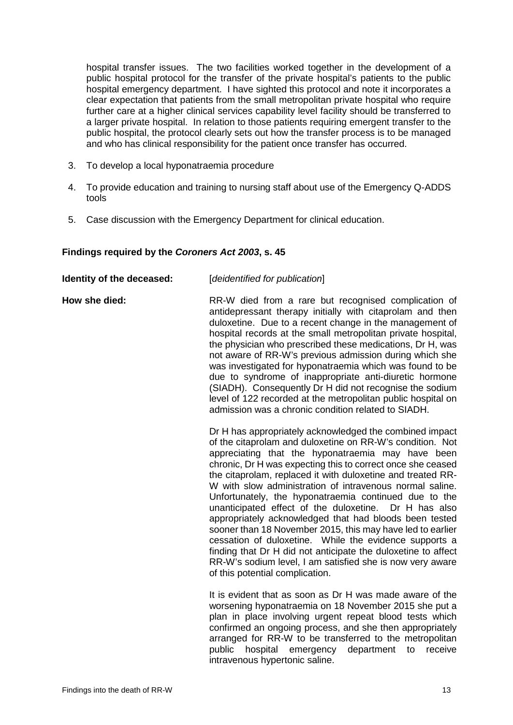hospital transfer issues. The two facilities worked together in the development of a public hospital protocol for the transfer of the private hospital's patients to the public hospital emergency department. I have sighted this protocol and note it incorporates a clear expectation that patients from the small metropolitan private hospital who require further care at a higher clinical services capability level facility should be transferred to a larger private hospital. In relation to those patients requiring emergent transfer to the public hospital, the protocol clearly sets out how the transfer process is to be managed and who has clinical responsibility for the patient once transfer has occurred.

- 3. To develop a local hyponatraemia procedure
- 4. To provide education and training to nursing staff about use of the Emergency Q-ADDS tools
- <span id="page-14-0"></span>5. Case discussion with the Emergency Department for clinical education.

# **Findings required by the** *Coroners Act 2003***, s. 45**

| Identity of the deceased: | [deidentified for publication]                                                                                                                                                                                                                                                                                                                                                                                                                                                                                                                                                                                                                                                                                                                                                                                                           |
|---------------------------|------------------------------------------------------------------------------------------------------------------------------------------------------------------------------------------------------------------------------------------------------------------------------------------------------------------------------------------------------------------------------------------------------------------------------------------------------------------------------------------------------------------------------------------------------------------------------------------------------------------------------------------------------------------------------------------------------------------------------------------------------------------------------------------------------------------------------------------|
| How she died:             | RR-W died from a rare but recognised complication of<br>antidepressant therapy initially with citaprolam and then<br>duloxetine. Due to a recent change in the management of<br>hospital records at the small metropolitan private hospital,<br>the physician who prescribed these medications, Dr H, was<br>not aware of RR-W's previous admission during which she<br>was investigated for hyponatraemia which was found to be<br>due to syndrome of inappropriate anti-diuretic hormone<br>(SIADH). Consequently Dr H did not recognise the sodium<br>level of 122 recorded at the metropolitan public hospital on<br>admission was a chronic condition related to SIADH.                                                                                                                                                             |
|                           | Dr H has appropriately acknowledged the combined impact<br>of the citaprolam and duloxetine on RR-W's condition. Not<br>appreciating that the hyponatraemia may have been<br>chronic, Dr H was expecting this to correct once she ceased<br>the citaprolam, replaced it with duloxetine and treated RR-<br>W with slow administration of intravenous normal saline.<br>Unfortunately, the hyponatraemia continued due to the<br>unanticipated effect of the duloxetine. Dr H has also<br>appropriately acknowledged that had bloods been tested<br>sooner than 18 November 2015, this may have led to earlier<br>cessation of duloxetine. While the evidence supports a<br>finding that Dr H did not anticipate the duloxetine to affect<br>RR-W's sodium level, I am satisfied she is now very aware<br>of this potential complication. |
|                           | It is evident that as soon as Dr H was made aware of the<br>worsening hyponatraemia on 18 November 2015 she put a<br>plan in place involving urgent repeat blood tests which<br>confirmed an ongoing process, and she then appropriately<br>arranged for RR-W to be transferred to the metropolitan<br>public<br>hospital<br>emergency<br>department<br>receive<br>to<br>intravenous hypertonic saline.                                                                                                                                                                                                                                                                                                                                                                                                                                  |